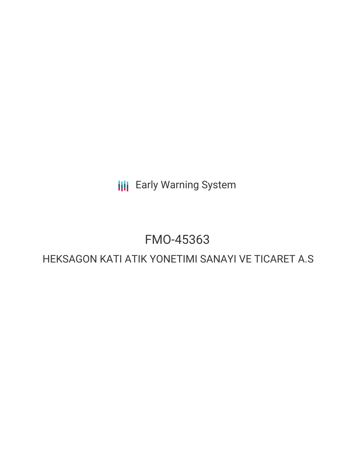**III** Early Warning System

# FMO-45363

# HEKSAGON KATI ATIK YONETIMI SANAYI VE TICARET A.S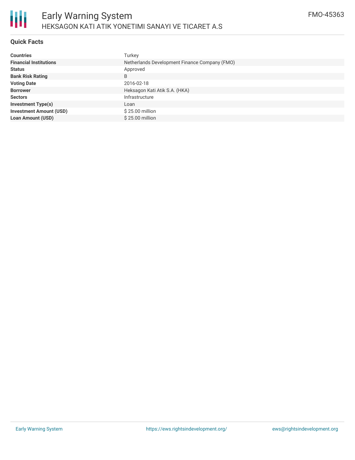

#### **Quick Facts**

| <b>Countries</b>               | Turkey                                        |
|--------------------------------|-----------------------------------------------|
| <b>Financial Institutions</b>  | Netherlands Development Finance Company (FMO) |
| <b>Status</b>                  | Approved                                      |
| <b>Bank Risk Rating</b>        | B                                             |
| <b>Voting Date</b>             | 2016-02-18                                    |
| <b>Borrower</b>                | Heksagon Kati Atik S.A. (HKA)                 |
| <b>Sectors</b>                 | Infrastructure                                |
| <b>Investment Type(s)</b>      | Loan                                          |
| <b>Investment Amount (USD)</b> | $$25.00$ million                              |
| <b>Loan Amount (USD)</b>       | \$25.00 million                               |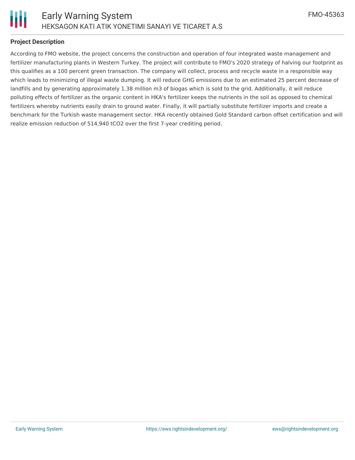

## **Project Description**

According to FMO website, the project concerns the construction and operation of four integrated waste management and fertilizer manufacturing plants in Western Turkey. The project will contribute to FMO's 2020 strategy of halving our footprint as this qualifies as a 100 percent green transaction. The company will collect, process and recycle waste in a responsible way which leads to minimizing of illegal waste dumping. It will reduce GHG emissions due to an estimated 25 percent decrease of landfills and by generating approximately 1.38 million m3 of biogas which is sold to the grid. Additionally, it will reduce polluting effects of fertilizer as the organic content in HKA's fertilizer keeps the nutrients in the soil as opposed to chemical fertilizers whereby nutrients easily drain to ground water. Finally, it will partially substitute fertilizer imports and create a benchmark for the Turkish waste management sector. HKA recently obtained Gold Standard carbon offset certification and will realize emission reduction of 514,940 tCO2 over the first 7-year crediting period.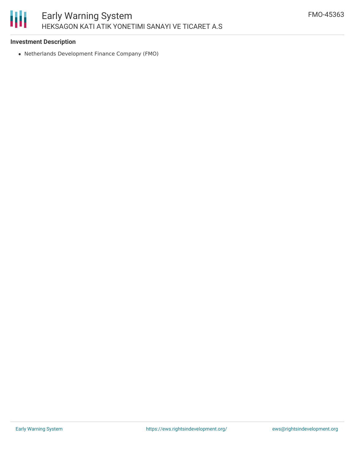#### Ш Early Warning System HEKSAGON KATI ATIK YONETIMI SANAYI VE TICARET A.S

#### **Investment Description**

Netherlands Development Finance Company (FMO)